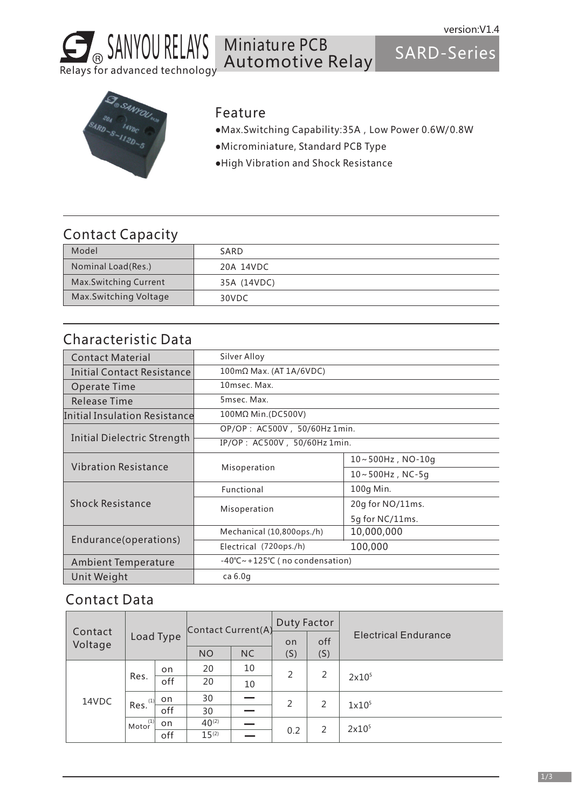

#### Miniature PCB Automotive Relay

SARD-Series



#### Feature

- ●Max.Switching Capability:35A,Low Power 0.6W/0.8W
- ●Microminiature, Standard PCB Type
- ●High Vibration and Shock Resistance

### Contact Capacity

| Model                        | SARD        |
|------------------------------|-------------|
| Nominal Load(Res.)           | 20A 14VDC   |
| <b>Max.Switching Current</b> | 35A (14VDC) |
| Max.Switching Voltage        | 30VDC       |

## Characteristic Data

| <b>Contact Material</b>              | Silver Alloy                 |                                                        |  |  |  |  |
|--------------------------------------|------------------------------|--------------------------------------------------------|--|--|--|--|
| <b>Initial Contact Resistance</b>    | 100mΩ Max. (AT 1A/6VDC)      |                                                        |  |  |  |  |
| <b>Operate Time</b>                  | 10msec. Max.                 |                                                        |  |  |  |  |
| Release Time                         | 5msec. Max.                  |                                                        |  |  |  |  |
| <b>Initial Insulation Resistance</b> | 100MΩ Min.(DC500V)           |                                                        |  |  |  |  |
|                                      |                              | OP/OP: AC500V, 50/60Hz 1min.                           |  |  |  |  |
| <b>Initial Dielectric Strength</b>   | IP/OP: AC500V, 50/60Hz 1min. |                                                        |  |  |  |  |
|                                      |                              | $10 \sim 500$ Hz, NO- $10q$                            |  |  |  |  |
| <b>Vibration Resistance</b>          | Misoperation                 | $10 - 500$ Hz, NC-5q                                   |  |  |  |  |
|                                      | Functional                   | 100g Min.                                              |  |  |  |  |
| <b>Shock Resistance</b>              | Misoperation                 | 20g for NO/11ms.                                       |  |  |  |  |
|                                      |                              | 5q for NC/11ms.                                        |  |  |  |  |
|                                      | Mechanical (10,800ops./h)    | 10,000,000                                             |  |  |  |  |
| Endurance(operations)                | Electrical (720ops./h)       | 100,000                                                |  |  |  |  |
| <b>Ambient Temperature</b>           |                              | $-40^{\circ}$ C ~ + 125 $^{\circ}$ C (no condensation) |  |  |  |  |
| Unit Weight                          | ca $6.0q$                    |                                                        |  |  |  |  |
|                                      |                              |                                                        |  |  |  |  |

#### Contact Data

|                    |                        |           | Contact Current(A) |           | Duty Factor |     |                             |
|--------------------|------------------------|-----------|--------------------|-----------|-------------|-----|-----------------------------|
| Contact<br>Voltage |                        | Load Type |                    |           | <b>on</b>   | off | <b>Electrical Endurance</b> |
|                    |                        |           | <b>NO</b>          | <b>NC</b> | (S)         | (S) |                             |
| 14VDC              | Res.                   | on        | 20                 | 10        | 2           | 2   | 2x10 <sup>5</sup>           |
|                    |                        | off       | 20                 | 10        |             |     |                             |
|                    | Res. <sup>(1)</sup>    | on        | 30                 |           | 2           | 2   | 1x10 <sup>5</sup>           |
|                    |                        | off       | 30                 |           |             |     |                             |
|                    | $Motor$ <sup>(1)</sup> | on        | $40^{(2)}$         |           |             | 2   | 2x10 <sup>5</sup>           |
|                    |                        | off       | $15^{(2)}$         |           | 0.2         |     |                             |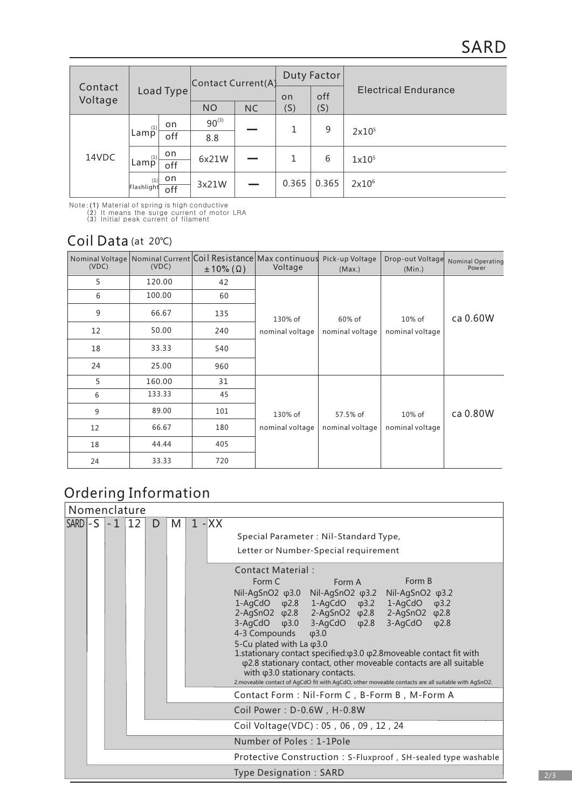|                    |                                                              |           | Contact Current(A) |           | Duty Factor |       |                             |
|--------------------|--------------------------------------------------------------|-----------|--------------------|-----------|-------------|-------|-----------------------------|
| Contact<br>Voltage |                                                              | Load Type |                    |           | <b>on</b>   | off   | <b>Electrical Endurance</b> |
|                    |                                                              |           | <b>NO</b>          | <b>NC</b> | (S)         | (S)   |                             |
| 14VDC              | (1)                                                          | on        | $90^{(3)}$         |           | 1           | 9     | 2x10 <sup>5</sup>           |
|                    | Lamp                                                         | off       | 8.8                |           |             |       |                             |
|                    | $\mathsf{Lam}^{\scriptscriptstyle{\mathrm{(1)}}}_\mathsf{P}$ | on        | 6x21W              |           | 1           | 6     | 1x10 <sup>5</sup>           |
|                    |                                                              | off       |                    |           |             |       |                             |
|                    | (1)                                                          | on        | 3x21W              |           | 0.365       | 0.365 | 2x10 <sup>6</sup>           |
|                    | Flashlight                                                   | off       |                    |           |             |       |                             |

Note:(1) Material of spring is high conductive (2) It means the surge current of motor LRA (3) Initial peak current of filament

### Coil Data (at 20℃)

| (VDC) | (VDC)  | $\pm 10\%$ ( $\Omega$ ) | Nominal Voltage Nominal Current Coil Resistance Max continuous<br>Voltage | Pick-up Voltage<br>(Max.) | Drop-out Voltage<br>(Min.)   | <b>Nominal Operating</b><br>Power |
|-------|--------|-------------------------|---------------------------------------------------------------------------|---------------------------|------------------------------|-----------------------------------|
| 5     | 120.00 | 42                      |                                                                           |                           |                              |                                   |
| 6     | 100.00 | 60                      |                                                                           |                           |                              |                                   |
| 9     | 66.67  | 135                     | 130% of                                                                   | 60% of<br>nominal voltage | $10\%$ of<br>nominal voltage | ca 0.60W                          |
| 12    | 50.00  | 240                     | nominal voltage                                                           |                           |                              |                                   |
| 18    | 33.33  | 540                     |                                                                           |                           |                              |                                   |
| 24    | 25.00  | 960                     |                                                                           |                           |                              |                                   |
| 5     | 160.00 | 31                      |                                                                           |                           |                              |                                   |
| 6     | 133.33 | 45                      |                                                                           |                           |                              |                                   |
| 9     | 89.00  | 101                     | 130% of                                                                   | 57.5% of                  | $10\%$ of                    | ca 0.80W                          |
| 12    | 66.67  | 180                     | nominal voltage                                                           | nominal voltage           | nominal voltage              |                                   |
| 18    | 44.44  | 405                     |                                                                           |                           |                              |                                   |
| 24    | 33.33  | 720                     |                                                                           |                           |                              |                                   |

# Ordering Information

|                  |                          | Nomenclature |    |   |   |  |          |                                                                                                                                                                       |
|------------------|--------------------------|--------------|----|---|---|--|----------|-----------------------------------------------------------------------------------------------------------------------------------------------------------------------|
| $SARD$ $-S$ $-1$ |                          |              | 12 | D | M |  | $1 - XX$ |                                                                                                                                                                       |
|                  |                          |              |    |   |   |  |          | Special Parameter: Nil-Standard Type,                                                                                                                                 |
|                  |                          |              |    |   |   |  |          | Letter or Number-Special requirement                                                                                                                                  |
|                  |                          |              |    |   |   |  |          | Contact Material:                                                                                                                                                     |
|                  |                          |              |    |   |   |  |          | Form B<br>Form C<br>Form A                                                                                                                                            |
|                  |                          |              |    |   |   |  |          | Nil-AgSnO <sub>2</sub> φ3.0<br>Nil-AgSnO2 φ3.2 Nil-AgSnO2 φ3.2                                                                                                        |
|                  |                          |              |    |   |   |  |          | 1-AgCdO φ3.2 1-AgCdO φ3.2<br>1-AgCdO φ2.8                                                                                                                             |
|                  |                          |              |    |   |   |  |          | 2-AgSnO2 $\varphi$ 2.8  2-AgSnO2 $\varphi$ 2.8  2-AgSnO2 $\varphi$ 2.8<br>$3-\text{AgCdO}$ $\varphi$ 3.0<br>$3-\text{AgCdO}$ $\varphi$ 2.8<br>$3-AgCdO$ $\varphi$ 2.8 |
|                  |                          |              |    |   |   |  |          | 4-3 Compounds<br>$\phi$ 3.0                                                                                                                                           |
|                  |                          |              |    |   |   |  |          | 5-Cu plated with La $\varphi$ 3.0                                                                                                                                     |
|                  |                          |              |    |   |   |  |          | 1.stationary contact specified: $\varphi$ 3.0 $\varphi$ 2.8 moveable contact fit with                                                                                 |
|                  |                          |              |    |   |   |  |          | φ2.8 stationary contact, other moveable contacts are all suitable<br>with $\varphi$ 3.0 stationary contacts.                                                          |
|                  |                          |              |    |   |   |  |          | 2.moveable contact of AqCdO fit with AqCdO, other moveable contacts are all suitable with AqSnO2.                                                                     |
|                  |                          |              |    |   |   |  |          | Contact Form: Nil-Form C, B-Form B, M-Form A                                                                                                                          |
|                  |                          |              |    |   |   |  |          | Coil Power: D-0.6W, H-0.8W                                                                                                                                            |
|                  |                          |              |    |   |   |  |          | Coil Voltage(VDC): 05, 06, 09, 12, 24                                                                                                                                 |
|                  | Number of Poles: 1-1Pole |              |    |   |   |  |          |                                                                                                                                                                       |
|                  |                          |              |    |   |   |  |          | Protective Construction: S-Fluxproof, SH-sealed type washable                                                                                                         |
|                  |                          |              |    |   |   |  |          | Type Designation: SARD                                                                                                                                                |